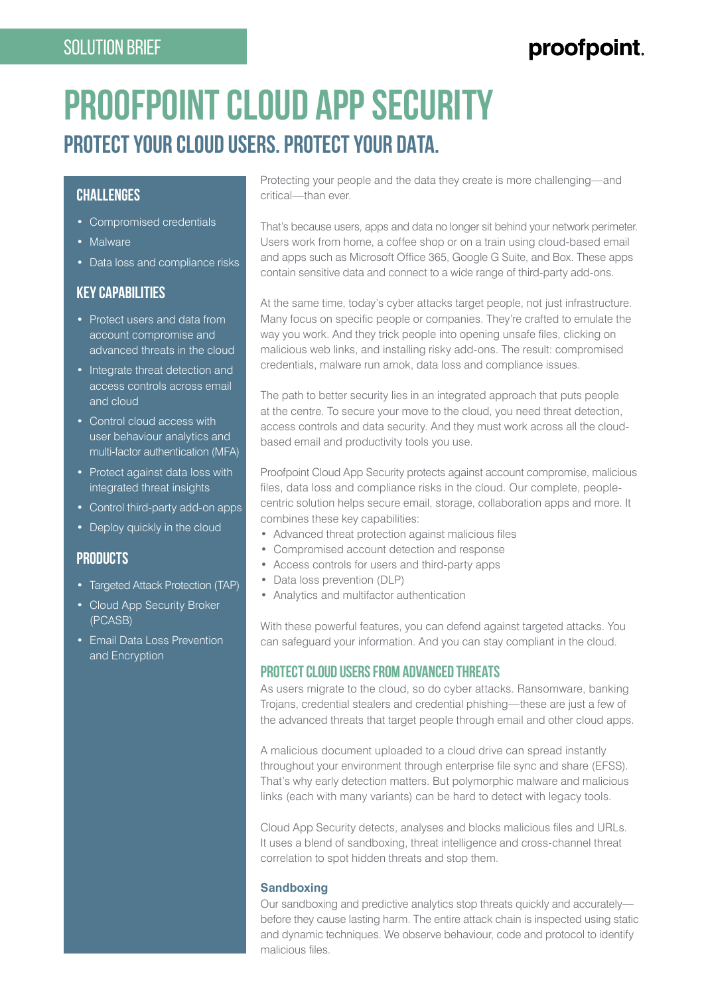# SOLUTION BRIEF

# proofpoint.

# **PROOFPOINT CLOUD APP SECURITY PROTECT YOUR CLOUD USERS. PROTECT YOUR DATA.**

### **CHALLENGES**

- Compromised credentials
- Malware
- Data loss and compliance risks

# **KEY CAPABILITIES**

- Protect users and data from account compromise and advanced threats in the cloud
- Integrate threat detection and access controls across email and cloud
- Control cloud access with user behaviour analytics and multi-factor authentication (MFA)
- Protect against data loss with integrated threat insights
- Control third-party add-on apps
- Deploy quickly in the cloud

# **PRODUCTS**

- Targeted Attack Protection (TAP)
- Cloud App Security Broker (PCASB)
- Email Data Loss Prevention and Encryption

Protecting your people and the data they create is more challenging—and critical—than ever.

That's because users, apps and data no longer sit behind your network perimeter. Users work from home, a coffee shop or on a train using cloud-based email and apps such as Microsoft Office 365, Google G Suite, and Box. These apps contain sensitive data and connect to a wide range of third-party add-ons.

At the same time, today's cyber attacks target people, not just infrastructure. Many focus on specific people or companies. They're crafted to emulate the way you work. And they trick people into opening unsafe files, clicking on malicious web links, and installing risky add-ons. The result: compromised credentials, malware run amok, data loss and compliance issues.

The path to better security lies in an integrated approach that puts people at the centre. To secure your move to the cloud, you need threat detection, access controls and data security. And they must work across all the cloudbased email and productivity tools you use.

Proofpoint Cloud App Security protects against account compromise, malicious files, data loss and compliance risks in the cloud. Our complete, peoplecentric solution helps secure email, storage, collaboration apps and more. It combines these key capabilities:

- Advanced threat protection against malicious files
- Compromised account detection and response
- Access controls for users and third-party apps
- Data loss prevention (DLP)
- Analytics and multifactor authentication

With these powerful features, you can defend against targeted attacks. You can safeguard your information. And you can stay compliant in the cloud.

#### **PROTECT CLOUD USERS FROM ADVANCED THREATS**

As users migrate to the cloud, so do cyber attacks. Ransomware, banking Trojans, credential stealers and credential phishing—these are just a few of the advanced threats that target people through email and other cloud apps.

A malicious document uploaded to a cloud drive can spread instantly throughout your environment through enterprise file sync and share (EFSS). That's why early detection matters. But polymorphic malware and malicious links (each with many variants) can be hard to detect with legacy tools.

Cloud App Security detects, analyses and blocks malicious files and URLs. It uses a blend of sandboxing, threat intelligence and cross-channel threat correlation to spot hidden threats and stop them.

#### **Sandboxing**

Our sandboxing and predictive analytics stop threats quickly and accurately before they cause lasting harm. The entire attack chain is inspected using static and dynamic techniques. We observe behaviour, code and protocol to identify malicious files.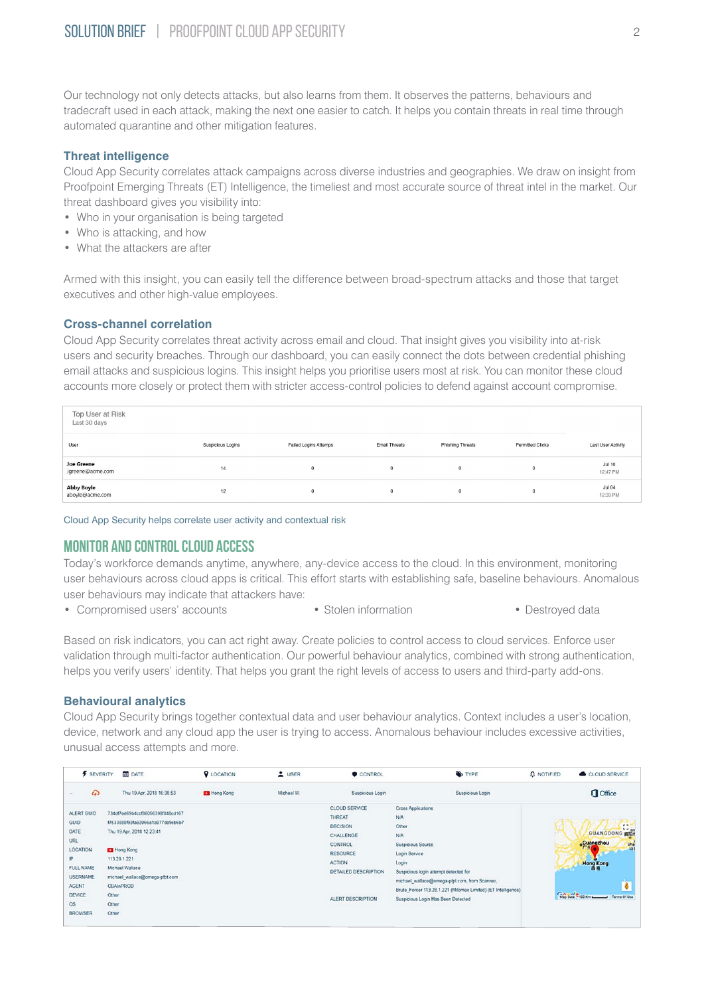Our technology not only detects attacks, but also learns from them. It observes the patterns, behaviours and tradecraft used in each attack, making the next one easier to catch. It helps you contain threats in real time through automated quarantine and other mitigation features.

#### **Threat intelligence**

Cloud App Security correlates attack campaigns across diverse industries and geographies. We draw on insight from Proofpoint Emerging Threats (ET) Intelligence, the timeliest and most accurate source of threat intel in the market. Our threat dashboard gives you visibility into:

- Who in your organisation is being targeted
- Who is attacking, and how
- What the attackers are after

Armed with this insight, you can easily tell the difference between broad-spectrum attacks and those that target executives and other high-value employees.

#### **Cross-channel correlation**

Cloud App Security correlates threat activity across email and cloud. That insight gives you visibility into at-risk users and security breaches. Through our dashboard, you can easily connect the dots between credential phishing email attacks and suspicious logins. This insight helps you prioritise users most at risk. You can monitor these cloud accounts more closely or protect them with stricter access-control policies to defend against account compromise.

| Top User at Risk<br>Last 30 days      |                   |                              |                      |                         |                         |                           |  |  |
|---------------------------------------|-------------------|------------------------------|----------------------|-------------------------|-------------------------|---------------------------|--|--|
| User                                  | Suspicious Logins | <b>Failed Logins Attemps</b> | <b>Email Threats</b> | <b>Phishing Threats</b> | <b>Permitted Clicks</b> | Last User Activity        |  |  |
| <b>Joe Greene</b><br>Jgreene@acme.com | 14                | $\bf{0}$                     | 0                    | $\theta$                |                         | <b>Jul 10</b><br>12:47 PM |  |  |
| Abby Boyle<br>aboyle@acme.com         | 12                | $\mathbf{0}$                 | $\mathbf 0$          | $\mathbf{0}$            |                         | <b>Jul 04</b><br>12:33 PM |  |  |

Cloud App Security helps correlate user activity and contextual risk

# **MONITOR AND CONTROL CLOUD ACCESS**

Today's workforce demands anytime, anywhere, any-device access to the cloud. In this environment, monitoring user behaviours across cloud apps is critical. This effort starts with establishing safe, baseline behaviours. Anomalous user behaviours may indicate that attackers have:

- Compromised users' accounts Stolen information Destroyed data
- 
- 

Based on risk indicators, you can act right away. Create policies to control access to cloud services. Enforce user validation through multi-factor authentication. Our powerful behaviour analytics, combined with strong authentication, helps you verify users' identity. That helps you grant the right levels of access to users and third-party add-ons.

#### **Behavioural analytics**

Cloud App Security brings together contextual data and user behaviour analytics. Context includes a user's location, device, network and any cloud app the user is trying to access. Anomalous behaviour includes excessive activities, unusual access attempts and more.

| <b>F</b> SEVERITY                                                                                                                                                                                     | <b>DATE</b>                                                                                                                                                                                             | <b>Q</b> LOCATION       | $L$ USER | CONTROL                                                                                                                                                                  | <b>SYPE</b>                                                                                                                                                                                                                                                                                                    | $\Omega$ NOTIFIED<br>CLOUD SERVICE                                                                                         |  |
|-------------------------------------------------------------------------------------------------------------------------------------------------------------------------------------------------------|---------------------------------------------------------------------------------------------------------------------------------------------------------------------------------------------------------|-------------------------|----------|--------------------------------------------------------------------------------------------------------------------------------------------------------------------------|----------------------------------------------------------------------------------------------------------------------------------------------------------------------------------------------------------------------------------------------------------------------------------------------------------------|----------------------------------------------------------------------------------------------------------------------------|--|
| $\omega$<br>m.                                                                                                                                                                                        | Thu 19 Apr, 2018 16:38:53                                                                                                                                                                               | Michael W.<br>Hong Kong |          | Suspicious Login                                                                                                                                                         | Suspicious Login                                                                                                                                                                                                                                                                                               | Office                                                                                                                     |  |
| ALERT GUID<br><b>GUID</b><br>DATE<br><b>URL</b><br><b>LOCATION</b><br>IP.<br><b>FULL NAME</b><br><b>USERNAME</b><br><b>AGENT</b><br><b>DEVICE</b><br>Other<br>Other<br>OS.<br><b>BROWSER</b><br>Other | 734df7ed69b4ccf86056398f848cd167<br>f7533888f93fa93066a1a077da9cb6b7<br>Thu 19 Apr, 2018 12 23:41<br>Hong Kong<br>113.28.1.221<br>Michael Wallace<br>michael_wallace@omega-pfpt.com<br><b>CBAInPROD</b> |                         |          | <b>CLOUD SERVICE</b><br><b>THREAT</b><br><b>DECISION</b><br>CHALLENGE<br><b>CONTROL</b><br><b>RESOURCE</b><br><b>ACTION</b><br>DETAILED DESCRIPTION<br>ALERT DESCRIPTION | <b>Cross Applications</b><br><b>N/A</b><br>Other<br><b>N/A</b><br>Suspicious Source<br>Login Service<br>Login<br>Suspicious login attempt detected for<br>michael_wallace@omega-pfpt.com, from Scanner,<br>Brute_Forcer 113.28.1.221 (Milomex Limited) (ET Intelligence)<br>Suspicious Login Has Been Detected | $\mathbf{r}$<br>GUANGDONG HIGH<br>Guangzhou<br>Sha<br><b>Hong Kong</b><br>Mag Data <sup>2</sup> 100 Km League Terms Of Use |  |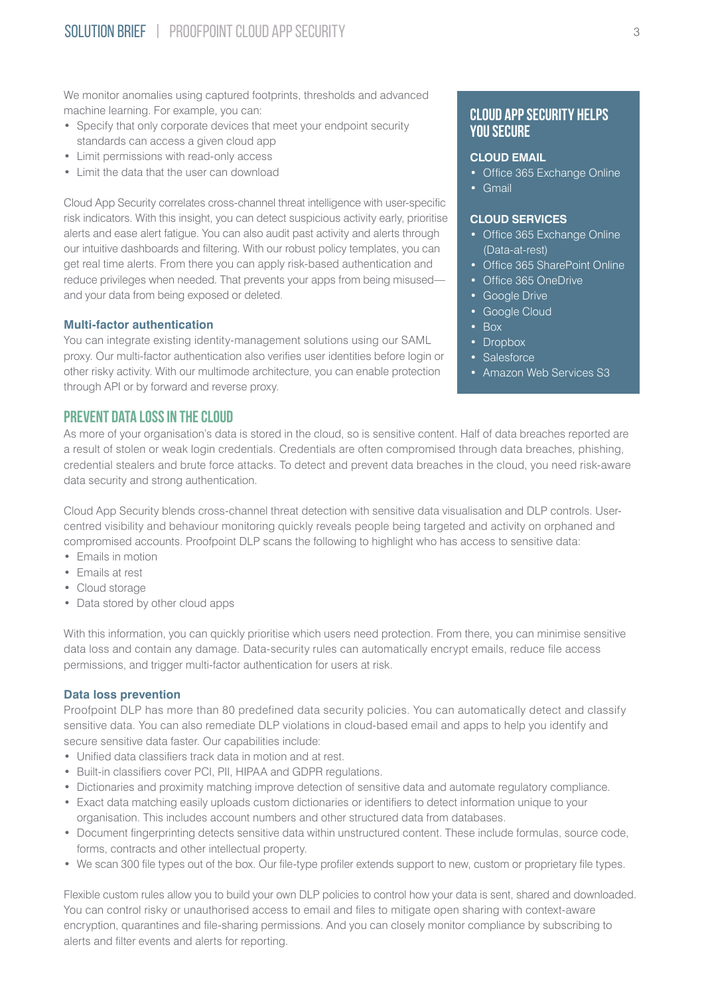We monitor anomalies using captured footprints, thresholds and advanced machine learning. For example, you can:

- Specify that only corporate devices that meet your endpoint security standards can access a given cloud app
- Limit permissions with read-only access
- Limit the data that the user can download

Cloud App Security correlates cross-channel threat intelligence with user-specific risk indicators. With this insight, you can detect suspicious activity early, prioritise alerts and ease alert fatigue. You can also audit past activity and alerts through our intuitive dashboards and filtering. With our robust policy templates, you can get real time alerts. From there you can apply risk-based authentication and reduce privileges when needed. That prevents your apps from being misused and your data from being exposed or deleted.

#### **Multi-factor authentication**

You can integrate existing identity-management solutions using our SAML proxy. Our multi-factor authentication also verifies user identities before login or other risky activity. With our multimode architecture, you can enable protection through API or by forward and reverse proxy.

#### **PREVENT DATA LOSS IN THE CLOUD**

As more of your organisation's data is stored in the cloud, so is sensitive content. Half of data breaches reported are a result of stolen or weak login credentials. Credentials are often compromised through data breaches, phishing, credential stealers and brute force attacks. To detect and prevent data breaches in the cloud, you need risk-aware data security and strong authentication.

Cloud App Security blends cross-channel threat detection with sensitive data visualisation and DLP controls. Usercentred visibility and behaviour monitoring quickly reveals people being targeted and activity on orphaned and compromised accounts. Proofpoint DLP scans the following to highlight who has access to sensitive data:

- Emails in motion
- Emails at rest
- Cloud storage
- Data stored by other cloud apps

With this information, you can quickly prioritise which users need protection. From there, you can minimise sensitive data loss and contain any damage. Data-security rules can automatically encrypt emails, reduce file access permissions, and trigger multi-factor authentication for users at risk.

#### **Data loss prevention**

Proofpoint DLP has more than 80 predefined data security policies. You can automatically detect and classify sensitive data. You can also remediate DLP violations in cloud-based email and apps to help you identify and secure sensitive data faster. Our capabilities include:

- Unified data classifiers track data in motion and at rest.
- Built-in classifiers cover PCI, PII, HIPAA and GDPR regulations.
- Dictionaries and proximity matching improve detection of sensitive data and automate regulatory compliance.
- Exact data matching easily uploads custom dictionaries or identifiers to detect information unique to your organisation. This includes account numbers and other structured data from databases.
- Document fingerprinting detects sensitive data within unstructured content. These include formulas, source code, forms, contracts and other intellectual property.
- We scan 300 file types out of the box. Our file-type profiler extends support to new, custom or proprietary file types.

Flexible custom rules allow you to build your own DLP policies to control how your data is sent, shared and downloaded. You can control risky or unauthorised access to email and files to mitigate open sharing with context-aware encryption, quarantines and file-sharing permissions. And you can closely monitor compliance by subscribing to alerts and filter events and alerts for reporting.

#### **Cloud App Security Helps You Secure**

#### **CLOUD EMAIL**

- Office 365 Exchange Online
- Gmail

#### **CLOUD SERVICES**

- Office 365 Exchange Online (Data-at-rest)
- Office 365 SharePoint Online
- Office 365 OneDrive
- Google Drive
- Google Cloud
- Box
- Dropbox
- Salesforce
- Amazon Web Services S3